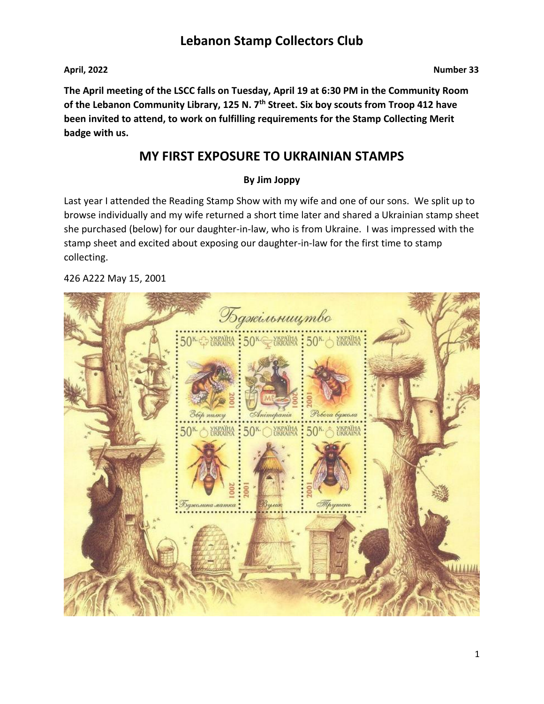#### **April, 2022 Number 33**

## **The April meeting of the LSCC falls on Tuesday, April 19 at 6:30 PM in the Community Room of the Lebanon Community Library, 125 N. 7th Street. Six boy scouts from Troop 412 have been invited to attend, to work on fulfilling requirements for the Stamp Collecting Merit badge with us.**

## **MY FIRST EXPOSURE TO UKRAINIAN STAMPS**

### **By Jim Joppy**

Last year I attended the Reading Stamp Show with my wife and one of our sons. We split up to browse individually and my wife returned a short time later and shared a Ukrainian stamp sheet she purchased (below) for our daughter-in-law, who is from Ukraine. I was impressed with the stamp sheet and excited about exposing our daughter-in-law for the first time to stamp collecting.

#### 426 A222 May 15, 2001

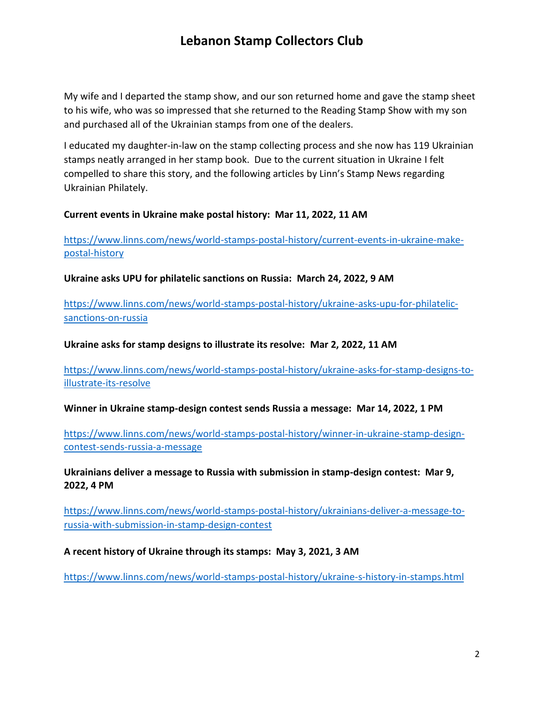My wife and I departed the stamp show, and our son returned home and gave the stamp sheet to his wife, who was so impressed that she returned to the Reading Stamp Show with my son and purchased all of the Ukrainian stamps from one of the dealers.

I educated my daughter-in-law on the stamp collecting process and she now has 119 Ukrainian stamps neatly arranged in her stamp book. Due to the current situation in Ukraine I felt compelled to share this story, and the following articles by Linn's Stamp News regarding Ukrainian Philately.

#### **Current events in Ukraine make postal history: Mar 11, 2022, 11 AM**

[https://www.linns.com/news/world-stamps-postal-history/current-events-in-ukraine-make](https://www.linns.com/news/world-stamps-postal-history/current-events-in-ukraine-make-postal-history)[postal-history](https://www.linns.com/news/world-stamps-postal-history/current-events-in-ukraine-make-postal-history)

**Ukraine asks UPU for philatelic sanctions on Russia: March 24, 2022, 9 AM** 

[https://www.linns.com/news/world-stamps-postal-history/ukraine-asks-upu-for-philatelic](https://www.linns.com/news/world-stamps-postal-history/ukraine-asks-upu-for-philatelic-sanctions-on-russia)[sanctions-on-russia](https://www.linns.com/news/world-stamps-postal-history/ukraine-asks-upu-for-philatelic-sanctions-on-russia)

**Ukraine asks for stamp designs to illustrate its resolve: Mar 2, 2022, 11 AM** 

[https://www.linns.com/news/world-stamps-postal-history/ukraine-asks-for-stamp-designs-to](https://www.linns.com/news/world-stamps-postal-history/ukraine-asks-for-stamp-designs-to-illustrate-its-resolve)[illustrate-its-resolve](https://www.linns.com/news/world-stamps-postal-history/ukraine-asks-for-stamp-designs-to-illustrate-its-resolve)

**Winner in Ukraine stamp-design contest sends Russia a message: Mar 14, 2022, 1 PM** 

[https://www.linns.com/news/world-stamps-postal-history/winner-in-ukraine-stamp-design](https://www.linns.com/news/world-stamps-postal-history/winner-in-ukraine-stamp-design-contest-sends-russia-a-message)[contest-sends-russia-a-message](https://www.linns.com/news/world-stamps-postal-history/winner-in-ukraine-stamp-design-contest-sends-russia-a-message)

**Ukrainians deliver a message to Russia with submission in stamp-design contest: Mar 9, 2022, 4 PM**

[https://www.linns.com/news/world-stamps-postal-history/ukrainians-deliver-a-message-to](https://www.linns.com/news/world-stamps-postal-history/ukrainians-deliver-a-message-to-russia-with-submission-in-stamp-design-contest)[russia-with-submission-in-stamp-design-contest](https://www.linns.com/news/world-stamps-postal-history/ukrainians-deliver-a-message-to-russia-with-submission-in-stamp-design-contest)

#### **A recent history of Ukraine through its stamps: May 3, 2021, 3 AM**

<https://www.linns.com/news/world-stamps-postal-history/ukraine-s-history-in-stamps.html>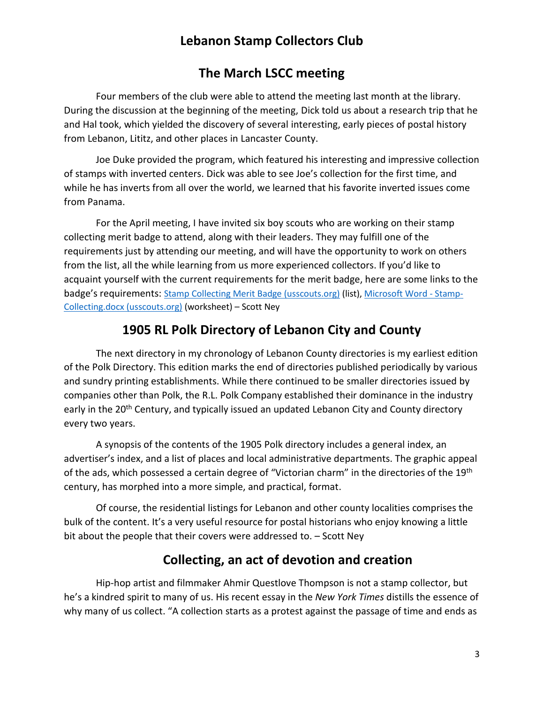## **The March LSCC meeting**

Four members of the club were able to attend the meeting last month at the library. During the discussion at the beginning of the meeting, Dick told us about a research trip that he and Hal took, which yielded the discovery of several interesting, early pieces of postal history from Lebanon, Lititz, and other places in Lancaster County.

Joe Duke provided the program, which featured his interesting and impressive collection of stamps with inverted centers. Dick was able to see Joe's collection for the first time, and while he has inverts from all over the world, we learned that his favorite inverted issues come from Panama.

For the April meeting, I have invited six boy scouts who are working on their stamp collecting merit badge to attend, along with their leaders. They may fulfill one of the requirements just by attending our meeting, and will have the opportunity to work on others from the list, all the while learning from us more experienced collectors. If you'd like to acquaint yourself with the current requirements for the merit badge, here are some links to the badge's requirements: [Stamp Collecting Merit Badge \(usscouts.org\)](http://www.usscouts.org/usscouts/mb/mb108.asp) (list), [Microsoft Word -](http://www.usscouts.org/mb/worksheets/Stamp-Collecting.pdf) Stamp-[Collecting.docx \(usscouts.org\)](http://www.usscouts.org/mb/worksheets/Stamp-Collecting.pdf) (worksheet) – Scott Ney

## **1905 RL Polk Directory of Lebanon City and County**

The next directory in my chronology of Lebanon County directories is my earliest edition of the Polk Directory. This edition marks the end of directories published periodically by various and sundry printing establishments. While there continued to be smaller directories issued by companies other than Polk, the R.L. Polk Company established their dominance in the industry early in the 20<sup>th</sup> Century, and typically issued an updated Lebanon City and County directory every two years.

A synopsis of the contents of the 1905 Polk directory includes a general index, an advertiser's index, and a list of places and local administrative departments. The graphic appeal of the ads, which possessed a certain degree of "Victorian charm" in the directories of the 19<sup>th</sup> century, has morphed into a more simple, and practical, format.

Of course, the residential listings for Lebanon and other county localities comprises the bulk of the content. It's a very useful resource for postal historians who enjoy knowing a little bit about the people that their covers were addressed to. – Scott Ney

## **Collecting, an act of devotion and creation**

Hip-hop artist and filmmaker Ahmir Questlove Thompson is not a stamp collector, but he's a kindred spirit to many of us. His recent essay in the *New York Times* distills the essence of why many of us collect. "A collection starts as a protest against the passage of time and ends as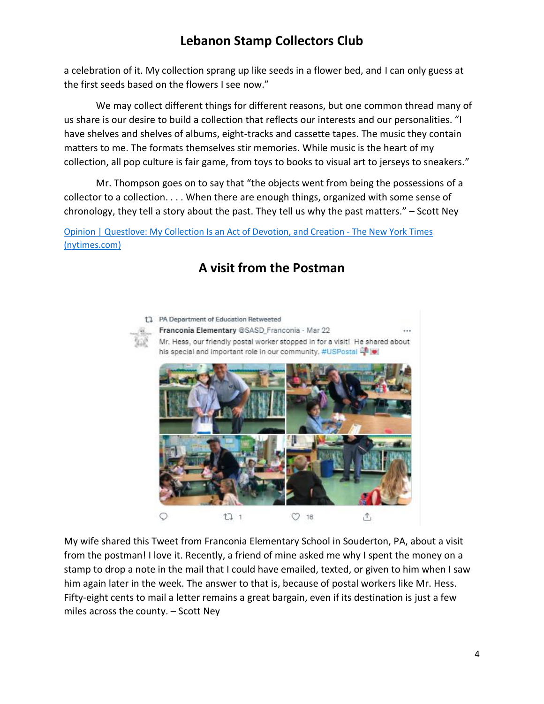a celebration of it. My collection sprang up like seeds in a flower bed, and I can only guess at the first seeds based on the flowers I see now."

We may collect different things for different reasons, but one common thread many of us share is our desire to build a collection that reflects our interests and our personalities. "I have shelves and shelves of albums, eight-tracks and cassette tapes. The music they contain matters to me. The formats themselves stir memories. While music is the heart of my collection, all pop culture is fair game, from toys to books to visual art to jerseys to sneakers."

Mr. Thompson goes on to say that "the objects went from being the possessions of a collector to a collection. . . . When there are enough things, organized with some sense of chronology, they tell a story about the past. They tell us why the past matters." – Scott Ney

[Opinion | Questlove: My Collection Is an Act of Devotion, and Creation -](https://www.nytimes.com/2022/03/25/opinion/questlove-inspiration-collection.html?campaign_id=39&emc=edit_ty_20220328&instance_id=56912&nl=opinion-today®i_id=76354597&segment_id=86767&te=1&user_id=76c8d96c3f215debc9a444844cca4bc7) The New York Times [\(nytimes.com\)](https://www.nytimes.com/2022/03/25/opinion/questlove-inspiration-collection.html?campaign_id=39&emc=edit_ty_20220328&instance_id=56912&nl=opinion-today®i_id=76354597&segment_id=86767&te=1&user_id=76c8d96c3f215debc9a444844cca4bc7)

# **A visit from the Postman**



t1 PA Department of Education Retweeted Franconia Elementary @SASD Franconia · Mar 22 Mr. Hess, our friendly postal worker stopped in for a visit! He shared about his special and important role in our community. #USPostal 4



My wife shared this Tweet from Franconia Elementary School in Souderton, PA, about a visit from the postman! I love it. Recently, a friend of mine asked me why I spent the money on a stamp to drop a note in the mail that I could have emailed, texted, or given to him when I saw him again later in the week. The answer to that is, because of postal workers like Mr. Hess. Fifty-eight cents to mail a letter remains a great bargain, even if its destination is just a few miles across the county. – Scott Ney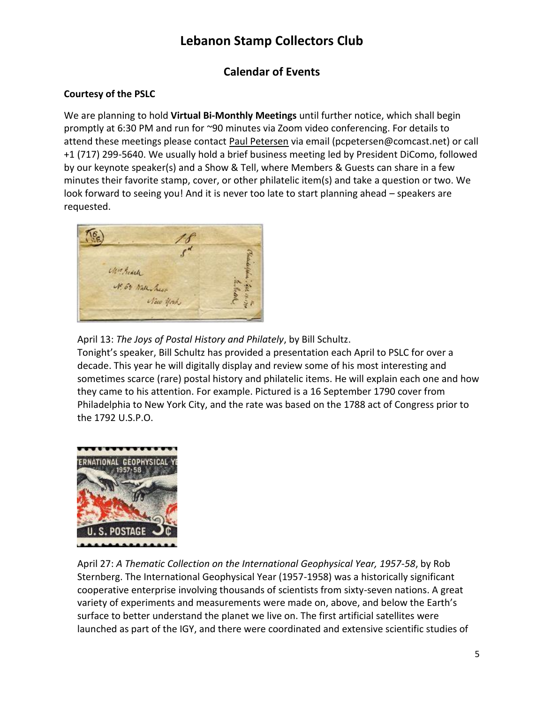## **Calendar of Events**

### **Courtesy of the PSLC**

We are planning to hold **Virtual Bi-Monthly Meetings** until further notice, which shall begin promptly at 6:30 PM and run for ~90 minutes via Zoom video conferencing. For details to attend these meetings please contact [Paul Petersen](mailto:pcpetersen@comcast.net) via email (pcpetersen@comcast.net) or call +1 (717) 299-5640. We usually hold a brief business meeting led by President DiComo, followed by our keynote speaker(s) and a Show & Tell, where Members & Guests can share in a few minutes their favorite stamp, cover, or other philatelic item(s) and take a question or two. We look forward to seeing you! And it is never too late to start planning ahead – speakers are requested.



April 13: *The Joys of Postal History and Philately*, by Bill Schultz.

Tonight's speaker, Bill Schultz has provided a presentation each April to PSLC for over a decade. This year he will digitally display and review some of his most interesting and sometimes scarce (rare) postal history and philatelic items. He will explain each one and how they came to his attention. For example. Pictured is a 16 September 1790 cover from Philadelphia to New York City, and the rate was based on the 1788 act of Congress prior to the 1792 U.S.P.O.



April 27: *A Thematic Collection on the International Geophysical Year, 1957-58*, by Rob Sternberg. The International Geophysical Year (1957-1958) was a historically significant cooperative enterprise involving thousands of scientists from sixty-seven nations. A great variety of experiments and measurements were made on, above, and below the Earth's surface to better understand the planet we live on. The first artificial satellites were launched as part of the IGY, and there were coordinated and extensive scientific studies of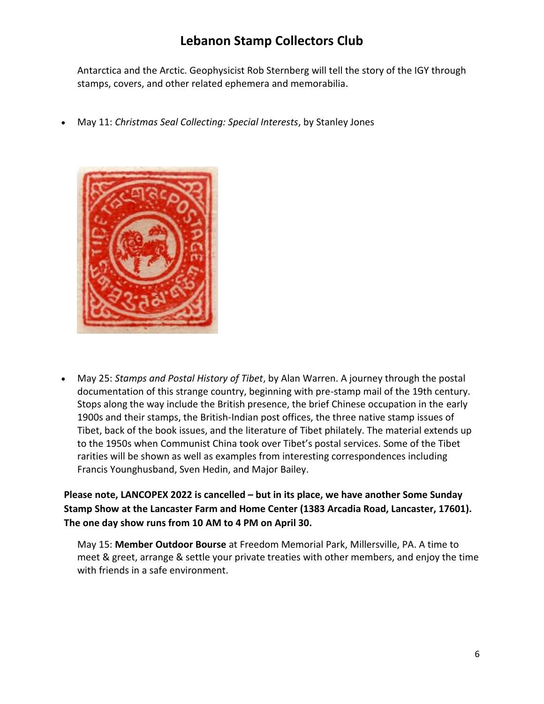Antarctica and the Arctic. Geophysicist Rob Sternberg will tell the story of the IGY through stamps, covers, and other related ephemera and memorabilia.

May 11: *Christmas Seal Collecting: Special Interests*, by Stanley Jones



 May 25: *Stamps and Postal History of Tibet*, by Alan Warren. A journey through the postal documentation of this strange country, beginning with pre-stamp mail of the 19th century. Stops along the way include the British presence, the brief Chinese occupation in the early 1900s and their stamps, the British-Indian post offices, the three native stamp issues of Tibet, back of the book issues, and the literature of Tibet philately. The material extends up to the 1950s when Communist China took over Tibet's postal services. Some of the Tibet rarities will be shown as well as examples from interesting correspondences including Francis Younghusband, Sven Hedin, and Major Bailey.

**Please note, LANCOPEX 2022 is cancelled – but in its place, we have another Some Sunday Stamp Show at the Lancaster Farm and Home Center (1383 Arcadia Road, Lancaster, 17601). The one day show runs from 10 AM to 4 PM on April 30.**

May 15: **Member Outdoor Bourse** at Freedom Memorial Park, Millersville, PA. A time to meet & greet, arrange & settle your private treaties with other members, and enjoy the time with friends in a safe environment.